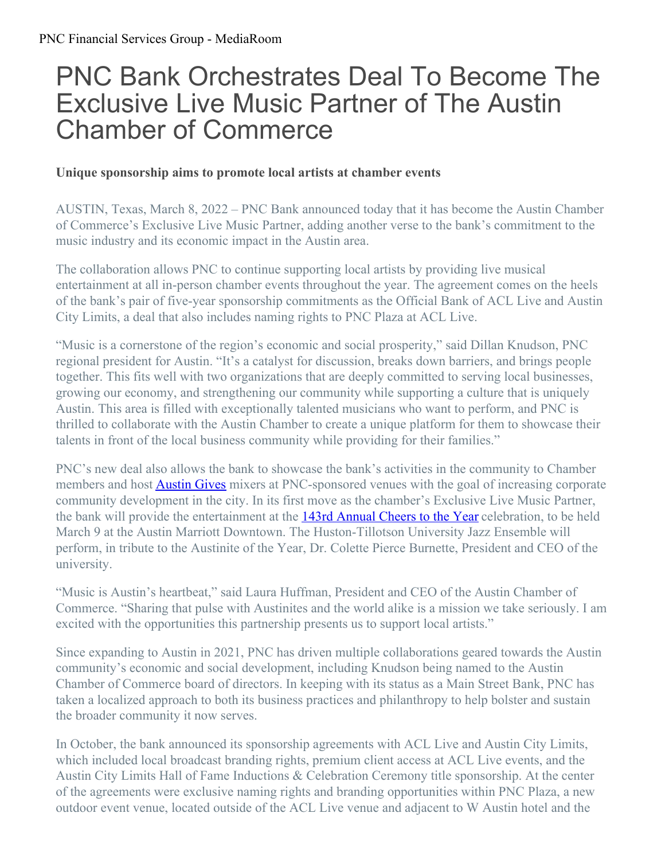## PNC Bank Orchestrates Deal To Become The Exclusive Live Music Partner of The Austin Chamber of Commerce

## **Unique sponsorship aims to promote local artists at chamber events**

AUSTIN, Texas, March 8, 2022 – PNC Bank announced today that it has become the Austin Chamber of Commerce's Exclusive Live Music Partner, adding another verse to the bank's commitment to the music industry and its economic impact in the Austin area.

The collaboration allows PNC to continue supporting local artists by providing live musical entertainment at all in-person chamber events throughout the year. The agreement comes on the heels of the bank's pair of five-year sponsorship commitments as the Official Bank of ACL Live and Austin City Limits, a deal that also includes naming rights to PNC Plaza at ACL Live.

"Music is a cornerstone of the region's economic and social prosperity," said Dillan Knudson, PNC regional president for Austin. "It's a catalyst for discussion, breaks down barriers, and brings people together. This fits well with two organizations that are deeply committed to serving local businesses, growing our economy, and strengthening our community while supporting a culture that is uniquely Austin. This area is filled with exceptionally talented musicians who want to perform, and PNC is thrilled to collaborate with the Austin Chamber to create a unique platform for them to showcase their talents in front of the local business community while providing for their families."

PNC's new deal also allows the bank to showcase the bank's activities in the community to Chamber members and host **[Austin](https://www.austinchamber.com/about/austin-gives) Gives** mixers at PNC-sponsored venues with the goal of increasing corporate community development in the city. In its first move as the chamber's Exclusive Live Music Partner, the bank will provide the entertainment at the 143rd [Annual](https://www.austinchamber.com/events/cheers-to-the-year-2022#:~:text=In 2022%2C we%27ll cheer,2021 Austinite of the Year.) Cheers to the Year celebration, to be held March 9 at the Austin Marriott Downtown. The Huston-Tillotson University Jazz Ensemble will perform, in tribute to the Austinite of the Year, Dr. Colette Pierce Burnette, President and CEO of the university.

"Music is Austin's heartbeat," said Laura Huffman, President and CEO of the Austin Chamber of Commerce. "Sharing that pulse with Austinites and the world alike is a mission we take seriously. I am excited with the opportunities this partnership presents us to support local artists."

Since expanding to Austin in 2021, PNC has driven multiple collaborations geared towards the Austin community's economic and social development, including Knudson being named to the Austin Chamber of Commerce board of directors. In keeping with its status as a Main Street Bank, PNC has taken a localized approach to both its business practices and philanthropy to help bolster and sustain the broader community it now serves.

In October, the bank announced its sponsorship agreements with ACL Live and Austin City Limits, which included local broadcast branding rights, premium client access at ACL Live events, and the Austin City Limits Hall of Fame Inductions & Celebration Ceremony title sponsorship. At the center of the agreements were exclusive naming rights and branding opportunities within PNC Plaza, a new outdoor event venue, located outside of the ACL Live venue and adjacent to W Austin hotel and the